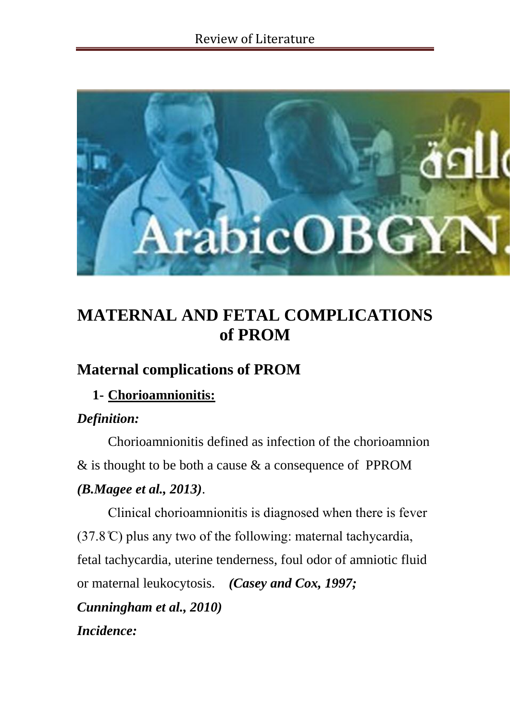

# **MATERNAL AND FETAL COMPLICATIONS of PROM**

## **Maternal complications of PROM**

## **1- Chorioamnionitis:**

## *Definition:*

Chorioamnionitis defined as infection of the chorioamnion & is thought to be both a cause & a consequence of PPROM *(B.Magee et al., 2013)*.

Clinical chorioamnionitis is diagnosed when there is fever  $(37.8 \text{°C})$  plus any two of the following: maternal tachycardia, fetal tachycardia, uterine tenderness, foul odor of amniotic fluid or maternal leukocytosis. *(Casey and Cox, 1997; Cunningham et al., 2010) Incidence:*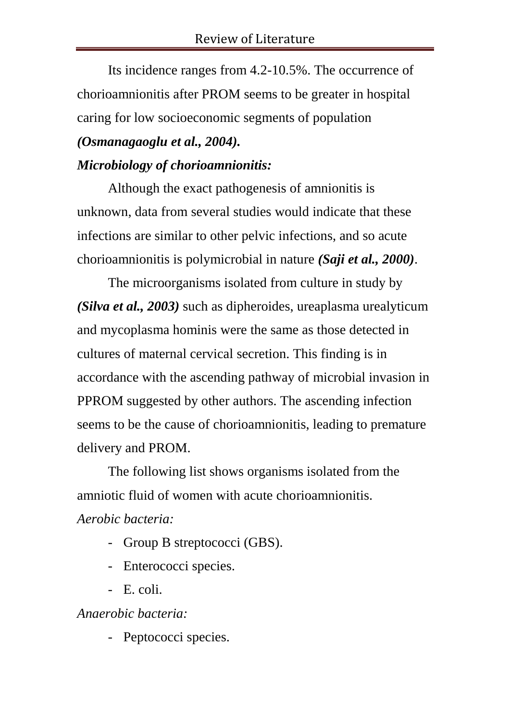Its incidence ranges from 4.2-10.5%. The occurrence of chorioamnionitis after PROM seems to be greater in hospital caring for low socioeconomic segments of population

### *(Osmanagaoglu et al., 2004).*

### *Microbiology of chorioamnionitis:*

Although the exact pathogenesis of amnionitis is unknown, data from several studies would indicate that these infections are similar to other pelvic infections, and so acute chorioamnionitis is polymicrobial in nature *(Saji et al., 2000)*.

The microorganisms isolated from culture in study by *(Silva et al., 2003)* such as dipheroides, ureaplasma urealyticum and mycoplasma hominis were the same as those detected in cultures of maternal cervical secretion. This finding is in accordance with the ascending pathway of microbial invasion in PPROM suggested by other authors. The ascending infection seems to be the cause of chorioamnionitis, leading to premature delivery and PROM.

The following list shows organisms isolated from the amniotic fluid of women with acute chorioamnionitis. *Aerobic bacteria:* 

- Group B streptococci (GBS).
- Enterococci species.
- E. coli.

*Anaerobic bacteria:*

- Peptococci species.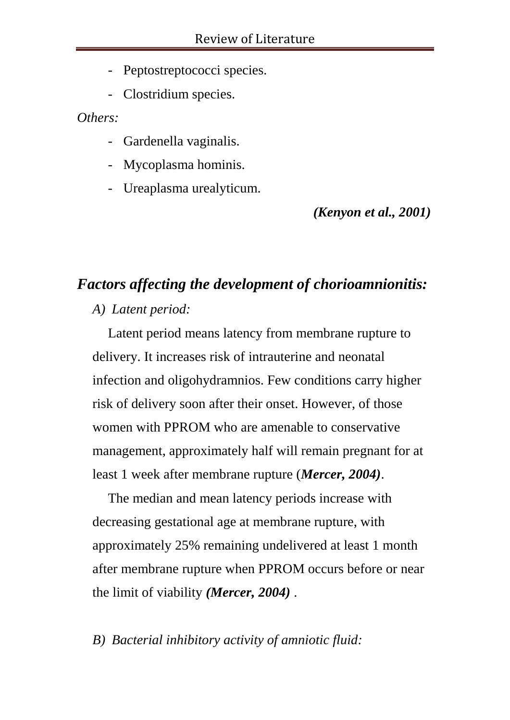- Peptostreptococci species.
- Clostridium species.

*Others:*

- Gardenella vaginalis.
- Mycoplasma hominis.
- Ureaplasma urealyticum.

*(Kenyon et al., 2001)*

## *Factors affecting the development of chorioamnionitis:*

*A) Latent period:*

Latent period means latency from membrane rupture to delivery. It increases risk of intrauterine and neonatal infection and oligohydramnios. Few conditions carry higher risk of delivery soon after their onset. However, of those women with PPROM who are amenable to conservative management, approximately half will remain pregnant for at least 1 week after membrane rupture (*Mercer, 2004)*.

The median and mean latency periods increase with decreasing gestational age at membrane rupture, with approximately 25% remaining undelivered at least 1 month after membrane rupture when PPROM occurs before or near the limit of viability *(Mercer, 2004)* .

## *B) Bacterial inhibitory activity of amniotic fluid:*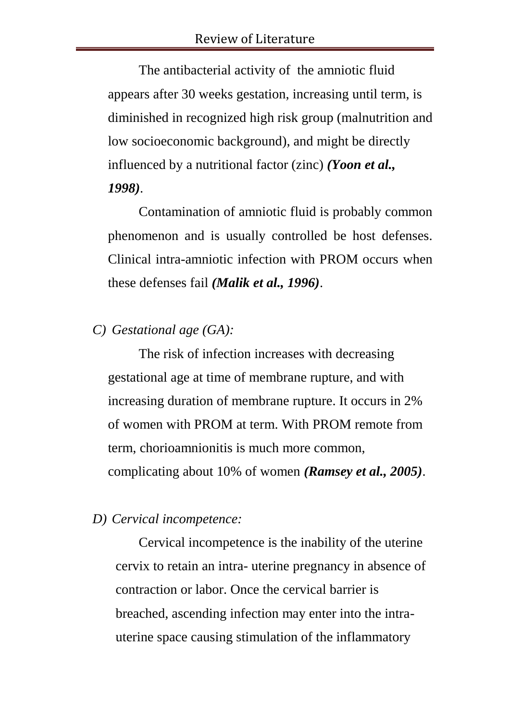The antibacterial activity of the amniotic fluid appears after 30 weeks gestation, increasing until term, is diminished in recognized high risk group (malnutrition and low socioeconomic background), and might be directly influenced by a nutritional factor (zinc) *(Yoon et al., 1998)*.

 Contamination of amniotic fluid is probably common phenomenon and is usually controlled be host defenses. Clinical intra-amniotic infection with PROM occurs when these defenses fail *(Malik et al., 1996)*.

*C) Gestational age (GA):* 

The risk of infection increases with decreasing gestational age at time of membrane rupture, and with increasing duration of membrane rupture. It occurs in 2% of women with PROM at term. With PROM remote from term, chorioamnionitis is much more common, complicating about 10% of women *(Ramsey et al., 2005)*.

*D) Cervical incompetence:*

Cervical incompetence is the inability of the uterine cervix to retain an intra- uterine pregnancy in absence of contraction or labor. Once the cervical barrier is breached, ascending infection may enter into the intrauterine space causing stimulation of the inflammatory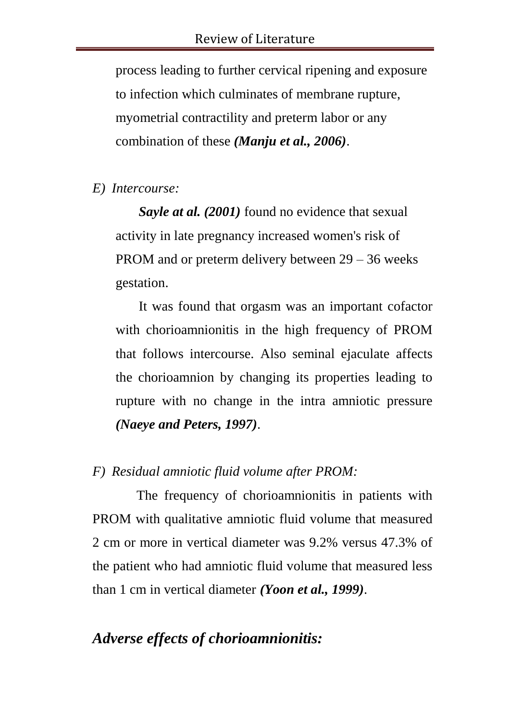process leading to further cervical ripening and exposure to infection which culminates of membrane rupture, myometrial contractility and preterm labor or any combination of these *(Manju et al., 2006)*.

### *E) Intercourse:*

*Sayle at al. (2001)* found no evidence that sexual activity in late pregnancy increased women's risk of PROM and or preterm delivery between 29 – 36 weeks gestation.

It was found that orgasm was an important cofactor with chorioamnionitis in the high frequency of PROM that follows intercourse. Also seminal ejaculate affects the chorioamnion by changing its properties leading to rupture with no change in the intra amniotic pressure *(Naeye and Peters, 1997)*.

### *F) Residual amniotic fluid volume after PROM:*

 The frequency of chorioamnionitis in patients with PROM with qualitative amniotic fluid volume that measured 2 cm or more in vertical diameter was 9.2% versus 47.3% of the patient who had amniotic fluid volume that measured less than 1 cm in vertical diameter *(Yoon et al., 1999)*.

## *Adverse effects of chorioamnionitis:*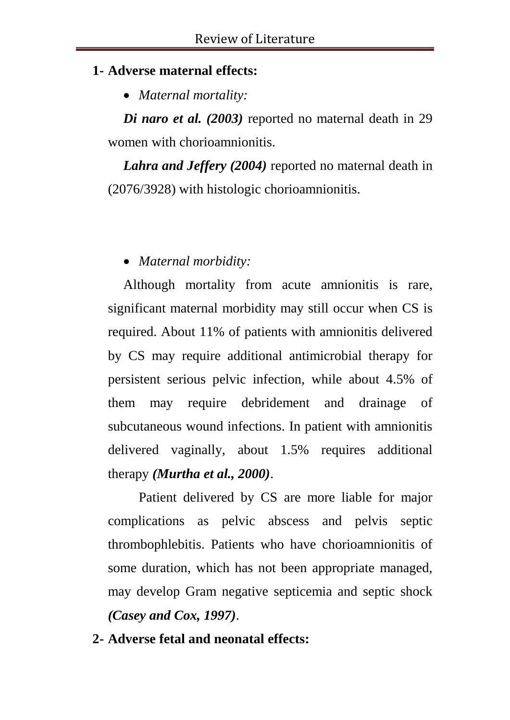### **1- Adverse maternal effects:**

*Maternal mortality:*

*Di naro et al. (2003)* reported no maternal death in 29 women with chorioamnionitis.

*Lahra and Jeffery (2004)* reported no maternal death in (2076/3928) with histologic chorioamnionitis.

## *Maternal morbidity:*

Although mortality from acute amnionitis is rare, significant maternal morbidity may still occur when CS is required. About 11% of patients with amnionitis delivered by CS may require additional antimicrobial therapy for persistent serious pelvic infection, while about 4.5% of them may require debridement and drainage of subcutaneous wound infections. In patient with amnionitis delivered vaginally, about 1.5% requires additional therapy *(Murtha et al., 2000)*.

Patient delivered by CS are more liable for major complications as pelvic abscess and pelvis septic thrombophlebitis. Patients who have chorioamnionitis of some duration, which has not been appropriate managed, may develop Gram negative septicemia and septic shock *(Casey and Cox, 1997)*.

## **2- Adverse fetal and neonatal effects:**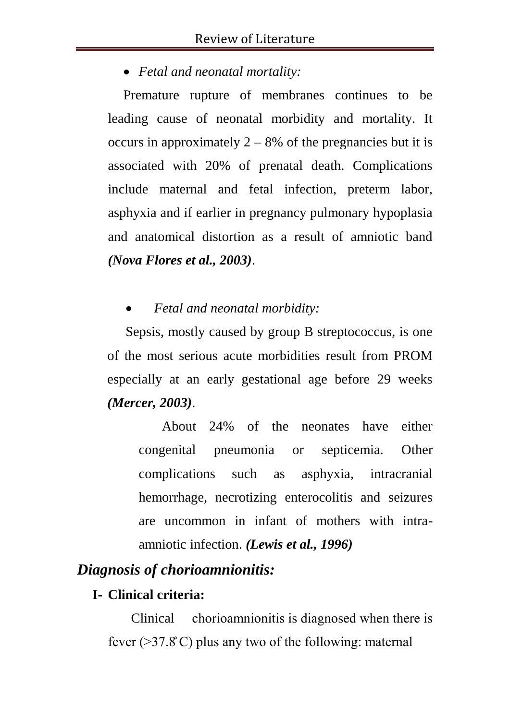### *Fetal and neonatal mortality:*

Premature rupture of membranes continues to be leading cause of neonatal morbidity and mortality. It occurs in approximately  $2 - 8\%$  of the pregnancies but it is associated with 20% of prenatal death. Complications include maternal and fetal infection, preterm labor, asphyxia and if earlier in pregnancy pulmonary hypoplasia and anatomical distortion as a result of amniotic band *(Nova Flores et al., 2003)*.

### *Fetal and neonatal morbidity:*

Sepsis, mostly caused by group B streptococcus, is one of the most serious acute morbidities result from PROM especially at an early gestational age before 29 weeks *(Mercer, 2003)*.

About 24% of the neonates have either congenital pneumonia or septicemia. Other complications such as asphyxia, intracranial hemorrhage, necrotizing enterocolitis and seizures are uncommon in infant of mothers with intraamniotic infection. *(Lewis et al., 1996)*

## *Diagnosis of chorioamnionitis:*

## **I- Clinical criteria:**

Clinical chorioamnionitis is diagnosed when there is fever ( $>37.8^{\circ}$ C) plus any two of the following: maternal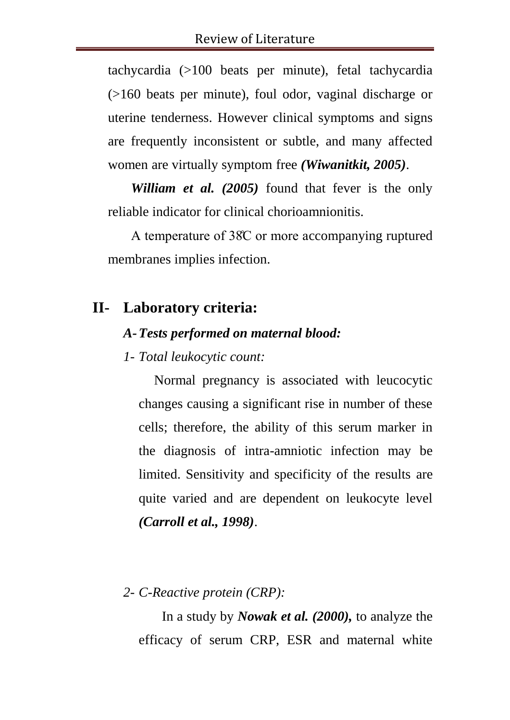tachycardia (>100 beats per minute), fetal tachycardia (>160 beats per minute), foul odor, vaginal discharge or uterine tenderness. However clinical symptoms and signs are frequently inconsistent or subtle, and many affected women are virtually symptom free *(Wiwanitkit, 2005)*.

*William et al. (2005)* found that fever is the only reliable indicator for clinical chorioamnionitis.

A temperature of 38̊C or more accompanying ruptured membranes implies infection.

## **II- Laboratory criteria:**

### *A-Tests performed on maternal blood:*

### *1- Total leukocytic count:*

Normal pregnancy is associated with leucocytic changes causing a significant rise in number of these cells; therefore, the ability of this serum marker in the diagnosis of intra-amniotic infection may be limited. Sensitivity and specificity of the results are quite varied and are dependent on leukocyte level *(Carroll et al., 1998)*.

## *2- C-Reactive protein (CRP):*

In a study by *Nowak et al. (2000),* to analyze the efficacy of serum CRP, ESR and maternal white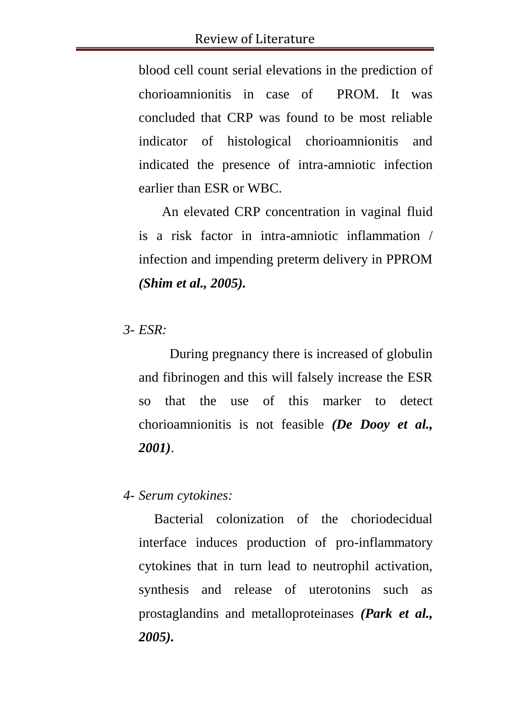blood cell count serial elevations in the prediction of chorioamnionitis in case of PROM. It was concluded that CRP was found to be most reliable indicator of histological chorioamnionitis and indicated the presence of intra-amniotic infection earlier than ESR or WBC.

An elevated CRP concentration in vaginal fluid is a risk factor in intra-amniotic inflammation / infection and impending preterm delivery in PPROM *(Shim et al., 2005).*

*3- ESR:*

During pregnancy there is increased of globulin and fibrinogen and this will falsely increase the ESR so that the use of this marker to detect chorioamnionitis is not feasible *(De Dooy et al., 2001)*.

#### *4- Serum cytokines:*

Bacterial colonization of the choriodecidual interface induces production of pro-inflammatory cytokines that in turn lead to neutrophil activation, synthesis and release of uterotonins such as prostaglandins and metalloproteinases *(Park et al., 2005).*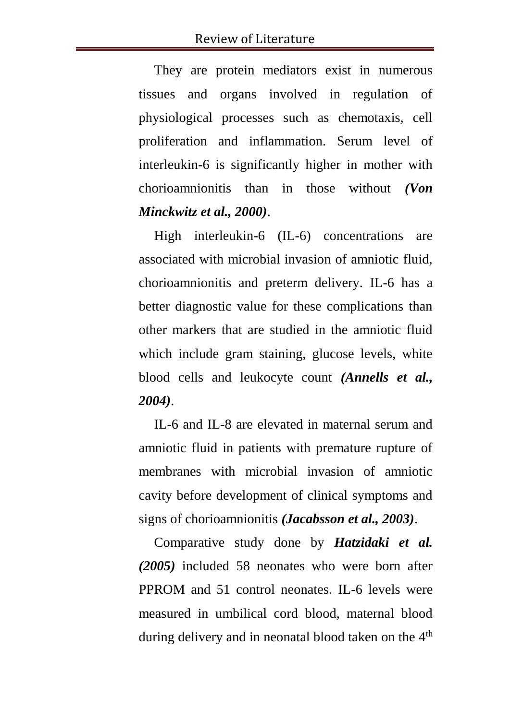They are protein mediators exist in numerous tissues and organs involved in regulation of physiological processes such as chemotaxis, cell proliferation and inflammation. Serum level of interleukin-6 is significantly higher in mother with chorioamnionitis than in those without *(Von Minckwitz et al., 2000)*.

High interleukin-6 (IL-6) concentrations are associated with microbial invasion of amniotic fluid, chorioamnionitis and preterm delivery. IL-6 has a better diagnostic value for these complications than other markers that are studied in the amniotic fluid which include gram staining, glucose levels, white blood cells and leukocyte count *(Annells et al., 2004)*.

IL-6 and IL-8 are elevated in maternal serum and amniotic fluid in patients with premature rupture of membranes with microbial invasion of amniotic cavity before development of clinical symptoms and signs of chorioamnionitis *(Jacabsson et al., 2003)*.

Comparative study done by *Hatzidaki et al. (2005)* included 58 neonates who were born after PPROM and 51 control neonates. IL-6 levels were measured in umbilical cord blood, maternal blood during delivery and in neonatal blood taken on the  $4<sup>th</sup>$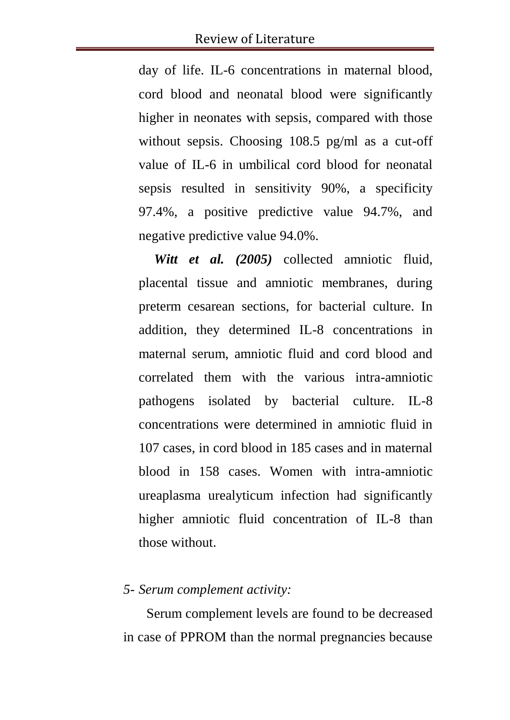day of life. IL-6 concentrations in maternal blood, cord blood and neonatal blood were significantly higher in neonates with sepsis, compared with those without sepsis. Choosing 108.5 pg/ml as a cut-off value of IL-6 in umbilical cord blood for neonatal sepsis resulted in sensitivity 90%, a specificity 97.4%, a positive predictive value 94.7%, and negative predictive value 94.0%.

*Witt et al. (2005)* collected amniotic fluid, placental tissue and amniotic membranes, during preterm cesarean sections, for bacterial culture. In addition, they determined IL-8 concentrations in maternal serum, amniotic fluid and cord blood and correlated them with the various intra-amniotic pathogens isolated by bacterial culture. IL-8 concentrations were determined in amniotic fluid in 107 cases, in cord blood in 185 cases and in maternal blood in 158 cases. Women with intra-amniotic ureaplasma urealyticum infection had significantly higher amniotic fluid concentration of IL-8 than those without.

#### *5- Serum complement activity:*

Serum complement levels are found to be decreased in case of PPROM than the normal pregnancies because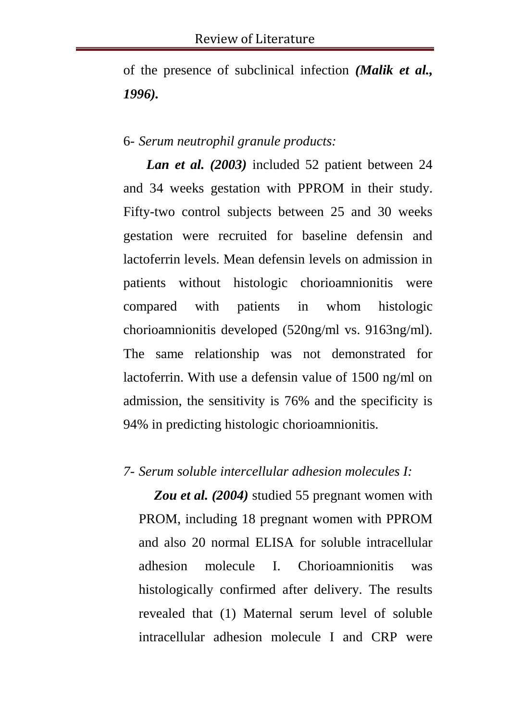of the presence of subclinical infection *(Malik et al., 1996).*

#### 6- *Serum neutrophil granule products:*

*Lan et al. (2003)* included 52 patient between 24 and 34 weeks gestation with PPROM in their study. Fifty-two control subjects between 25 and 30 weeks gestation were recruited for baseline defensin and lactoferrin levels. Mean defensin levels on admission in patients without histologic chorioamnionitis were compared with patients in whom histologic chorioamnionitis developed (520ng/ml vs. 9163ng/ml). The same relationship was not demonstrated for lactoferrin. With use a defensin value of 1500 ng/ml on admission, the sensitivity is 76% and the specificity is 94% in predicting histologic chorioamnionitis.

#### *7- Serum soluble intercellular adhesion molecules I:*

*Zou et al. (2004)* studied 55 pregnant women with PROM, including 18 pregnant women with PPROM and also 20 normal ELISA for soluble intracellular adhesion molecule I. Chorioamnionitis was histologically confirmed after delivery. The results revealed that (1) Maternal serum level of soluble intracellular adhesion molecule I and CRP were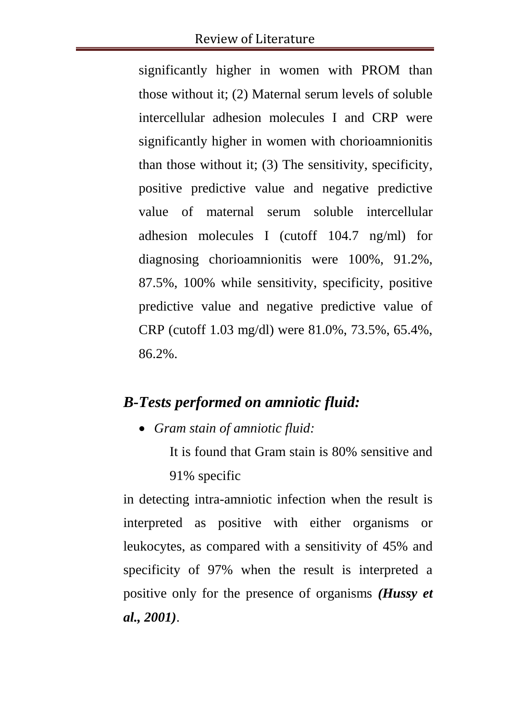significantly higher in women with PROM than those without it; (2) Maternal serum levels of soluble intercellular adhesion molecules I and CRP were significantly higher in women with chorioamnionitis than those without it; (3) The sensitivity, specificity, positive predictive value and negative predictive value of maternal serum soluble intercellular adhesion molecules I (cutoff 104.7 ng/ml) for diagnosing chorioamnionitis were 100%, 91.2%, 87.5%, 100% while sensitivity, specificity, positive predictive value and negative predictive value of CRP (cutoff 1.03 mg/dl) were 81.0%, 73.5%, 65.4%, 86.2%.

## *B-Tests performed on amniotic fluid:*

*Gram stain of amniotic fluid:*

It is found that Gram stain is 80% sensitive and 91% specific

in detecting intra-amniotic infection when the result is interpreted as positive with either organisms or leukocytes, as compared with a sensitivity of 45% and specificity of 97% when the result is interpreted a positive only for the presence of organisms *(Hussy et al., 2001)*.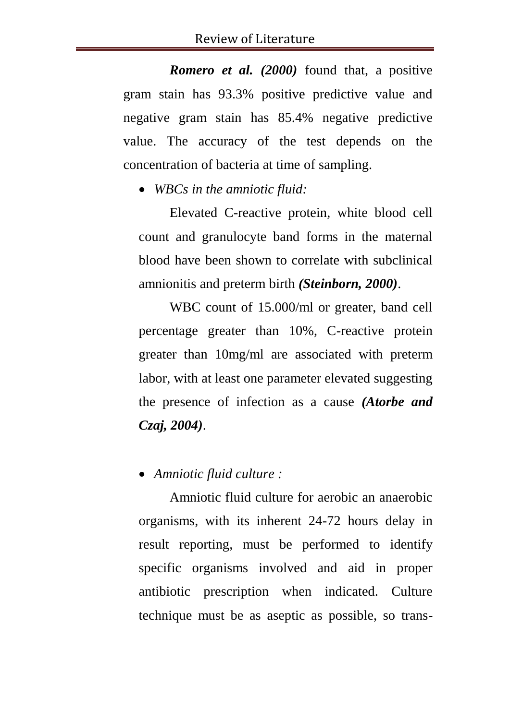*Romero et al. (2000)* found that, a positive gram stain has 93.3% positive predictive value and negative gram stain has 85.4% negative predictive value. The accuracy of the test depends on the concentration of bacteria at time of sampling.

*WBCs in the amniotic fluid:*

Elevated C-reactive protein, white blood cell count and granulocyte band forms in the maternal blood have been shown to correlate with subclinical amnionitis and preterm birth *(Steinborn, 2000)*.

WBC count of 15.000/ml or greater, band cell percentage greater than 10%, C-reactive protein greater than 10mg/ml are associated with preterm labor, with at least one parameter elevated suggesting the presence of infection as a cause *(Atorbe and Czaj, 2004)*.

*Amniotic fluid culture :*

Amniotic fluid culture for aerobic an anaerobic organisms, with its inherent 24-72 hours delay in result reporting, must be performed to identify specific organisms involved and aid in proper antibiotic prescription when indicated. Culture technique must be as aseptic as possible, so trans-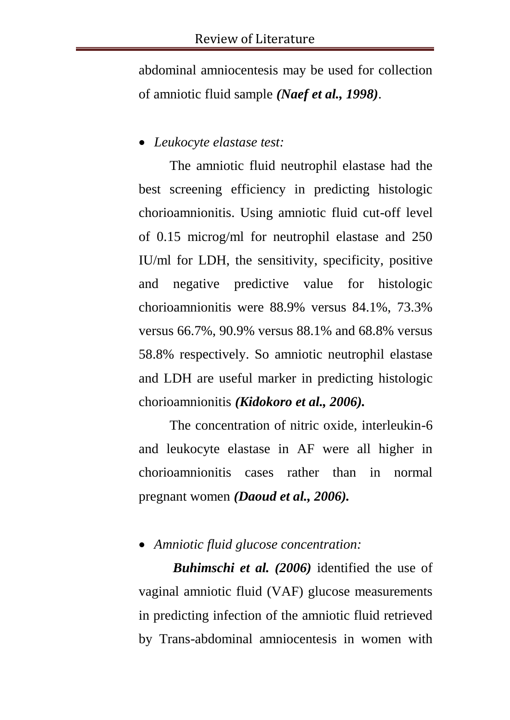abdominal amniocentesis may be used for collection of amniotic fluid sample *(Naef et al., 1998)*.

#### *Leukocyte elastase test:*

The amniotic fluid neutrophil elastase had the best screening efficiency in predicting histologic chorioamnionitis. Using amniotic fluid cut-off level of 0.15 microg/ml for neutrophil elastase and 250 IU/ml for LDH, the sensitivity, specificity, positive and negative predictive value for histologic chorioamnionitis were 88.9% versus 84.1%, 73.3% versus 66.7%, 90.9% versus 88.1% and 68.8% versus 58.8% respectively. So amniotic neutrophil elastase and LDH are useful marker in predicting histologic chorioamnionitis *(Kidokoro et al., 2006).*

The concentration of nitric oxide, interleukin-6 and leukocyte elastase in AF were all higher in chorioamnionitis cases rather than in normal pregnant women *(Daoud et al., 2006).*

#### *Amniotic fluid glucose concentration:*

*Buhimschi et al. (2006)* identified the use of vaginal amniotic fluid (VAF) glucose measurements in predicting infection of the amniotic fluid retrieved by Trans-abdominal amniocentesis in women with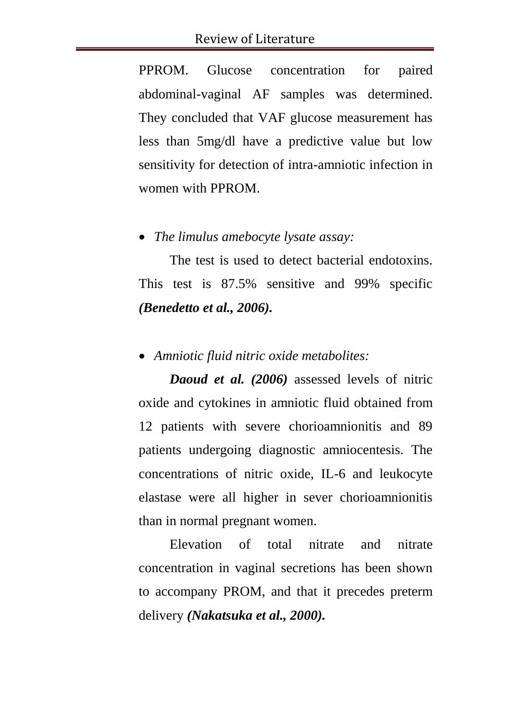PPROM. Glucose concentration for paired abdominal-vaginal AF samples was determined. They concluded that VAF glucose measurement has less than 5mg/dl have a predictive value but low sensitivity for detection of intra-amniotic infection in women with PPROM.

#### *The limulus amebocyte lysate assay:*

The test is used to detect bacterial endotoxins. This test is 87.5% sensitive and 99% specific *(Benedetto et al., 2006).*

*Amniotic fluid nitric oxide metabolites:*

*Daoud et al. (2006)* assessed levels of nitric oxide and cytokines in amniotic fluid obtained from 12 patients with severe chorioamnionitis and 89 patients undergoing diagnostic amniocentesis. The concentrations of nitric oxide, IL-6 and leukocyte elastase were all higher in sever chorioamnionitis than in normal pregnant women.

Elevation of total nitrate and nitrate concentration in vaginal secretions has been shown to accompany PROM, and that it precedes preterm delivery *(Nakatsuka et al., 2000).*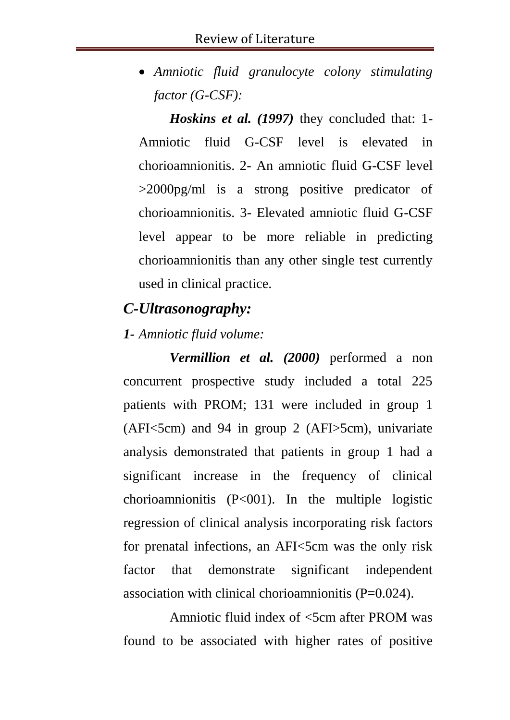*Amniotic fluid granulocyte colony stimulating factor (G-CSF):*

*Hoskins et al. (1997)* they concluded that: 1- Amniotic fluid G-CSF level is elevated in chorioamnionitis. 2- An amniotic fluid G-CSF level >2000pg/ml is a strong positive predicator of chorioamnionitis. 3- Elevated amniotic fluid G-CSF level appear to be more reliable in predicting chorioamnionitis than any other single test currently used in clinical practice.

### *C-Ultrasonography:*

#### *1- Amniotic fluid volume:*

*Vermillion et al. (2000)* performed a non concurrent prospective study included a total 225 patients with PROM; 131 were included in group 1  $(AFI<5cm)$  and 94 in group 2  $(AFI>5cm)$ , univariate analysis demonstrated that patients in group 1 had a significant increase in the frequency of clinical chorioamnionitis  $(P<001)$ . In the multiple logistic regression of clinical analysis incorporating risk factors for prenatal infections, an AFI<5cm was the only risk factor that demonstrate significant independent association with clinical chorioamnionitis  $(P=0.024)$ .

Amniotic fluid index of <5cm after PROM was found to be associated with higher rates of positive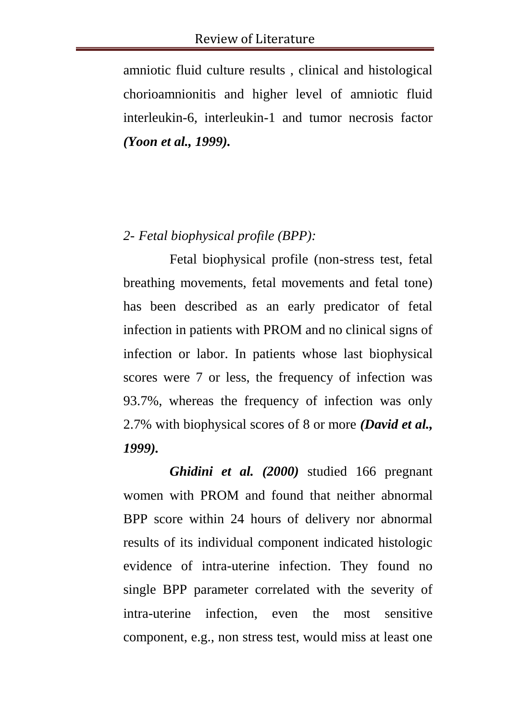amniotic fluid culture results , clinical and histological chorioamnionitis and higher level of amniotic fluid interleukin-6, interleukin-1 and tumor necrosis factor *(Yoon et al., 1999).*

### *2- Fetal biophysical profile (BPP):*

Fetal biophysical profile (non-stress test, fetal breathing movements, fetal movements and fetal tone) has been described as an early predicator of fetal infection in patients with PROM and no clinical signs of infection or labor. In patients whose last biophysical scores were 7 or less, the frequency of infection was 93.7%, whereas the frequency of infection was only 2.7% with biophysical scores of 8 or more *(David et al., 1999).*

*Ghidini et al. (2000)* studied 166 pregnant women with PROM and found that neither abnormal BPP score within 24 hours of delivery nor abnormal results of its individual component indicated histologic evidence of intra-uterine infection. They found no single BPP parameter correlated with the severity of intra-uterine infection, even the most sensitive component, e.g., non stress test, would miss at least one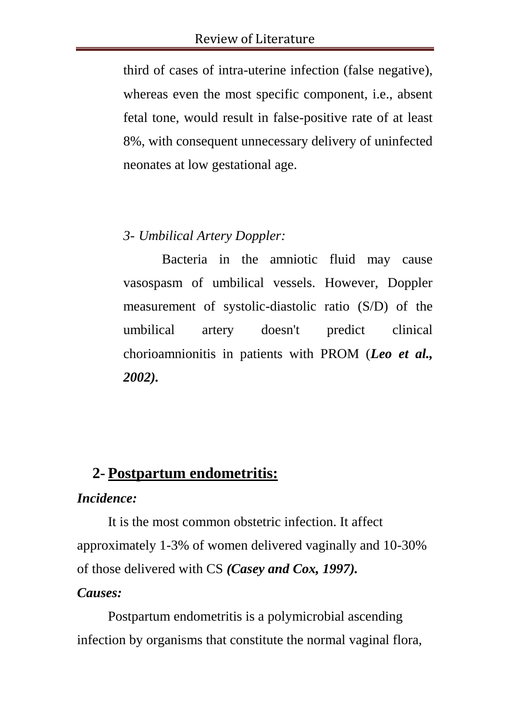third of cases of intra-uterine infection (false negative), whereas even the most specific component, i.e., absent fetal tone, would result in false-positive rate of at least 8%, with consequent unnecessary delivery of uninfected neonates at low gestational age.

### *3- Umbilical Artery Doppler:*

Bacteria in the amniotic fluid may cause vasospasm of umbilical vessels. However, Doppler measurement of systolic-diastolic ratio (S/D) of the umbilical artery doesn't predict clinical chorioamnionitis in patients with PROM (*Leo et al., 2002).*

## **2- Postpartum endometritis:**

#### *Incidence:*

It is the most common obstetric infection. It affect approximately 1-3% of women delivered vaginally and 10-30% of those delivered with CS *(Casey and Cox, 1997).*

### *Causes:*

Postpartum endometritis is a polymicrobial ascending infection by organisms that constitute the normal vaginal flora,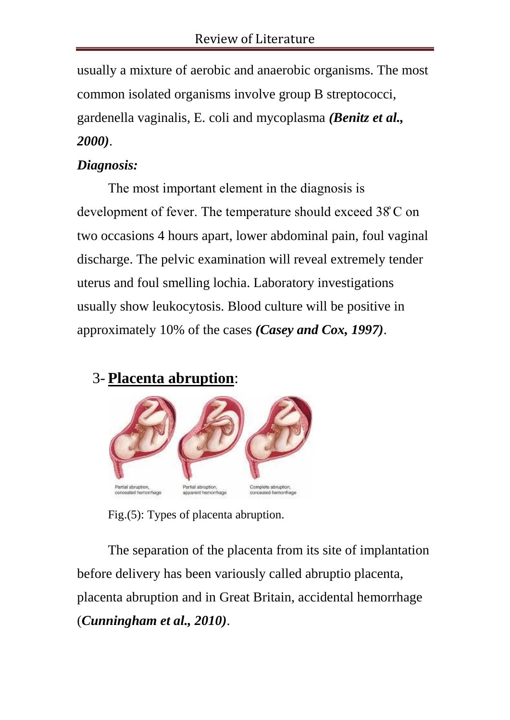usually a mixture of aerobic and anaerobic organisms. The most common isolated organisms involve group B streptococci, gardenella vaginalis, E. coli and mycoplasma *(Benitz et al., 2000)*.

## *Diagnosis:*

The most important element in the diagnosis is development of fever. The temperature should exceed 38̊ C on two occasions 4 hours apart, lower abdominal pain, foul vaginal discharge. The pelvic examination will reveal extremely tender uterus and foul smelling lochia. Laboratory investigations usually show leukocytosis. Blood culture will be positive in approximately 10% of the cases *(Casey and Cox, 1997)*.

## 3- **Placenta abruption**:



Fig.(5): Types of placenta abruption.

The separation of the placenta from its site of implantation before delivery has been variously called abruptio placenta, placenta abruption and in Great Britain, accidental hemorrhage (*Cunningham et al., 2010)*.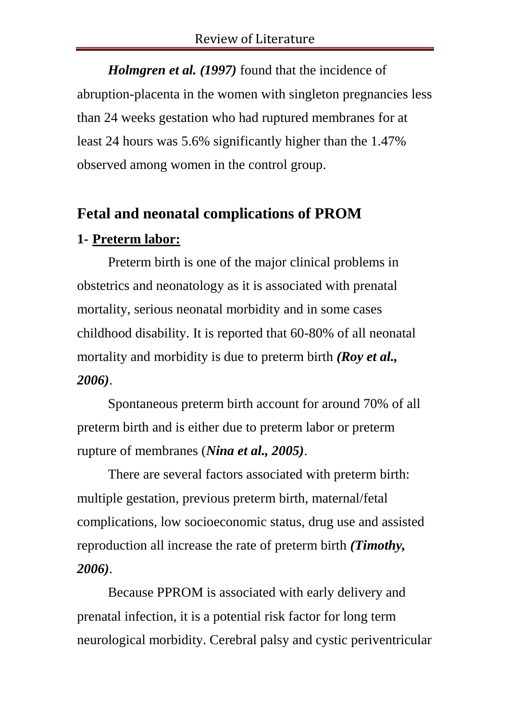*Holmgren et al. (1997)* found that the incidence of abruption-placenta in the women with singleton pregnancies less than 24 weeks gestation who had ruptured membranes for at least 24 hours was 5.6% significantly higher than the 1.47% observed among women in the control group.

## **Fetal and neonatal complications of PROM**

## **1- Preterm labor:**

Preterm birth is one of the major clinical problems in obstetrics and neonatology as it is associated with prenatal mortality, serious neonatal morbidity and in some cases childhood disability. It is reported that 60-80% of all neonatal mortality and morbidity is due to preterm birth *(Roy et al., 2006)*.

Spontaneous preterm birth account for around 70% of all preterm birth and is either due to preterm labor or preterm rupture of membranes (*Nina et al., 2005)*.

There are several factors associated with preterm birth: multiple gestation, previous preterm birth, maternal/fetal complications, low socioeconomic status, drug use and assisted reproduction all increase the rate of preterm birth *(Timothy, 2006)*.

Because PPROM is associated with early delivery and prenatal infection, it is a potential risk factor for long term neurological morbidity. Cerebral palsy and cystic periventricular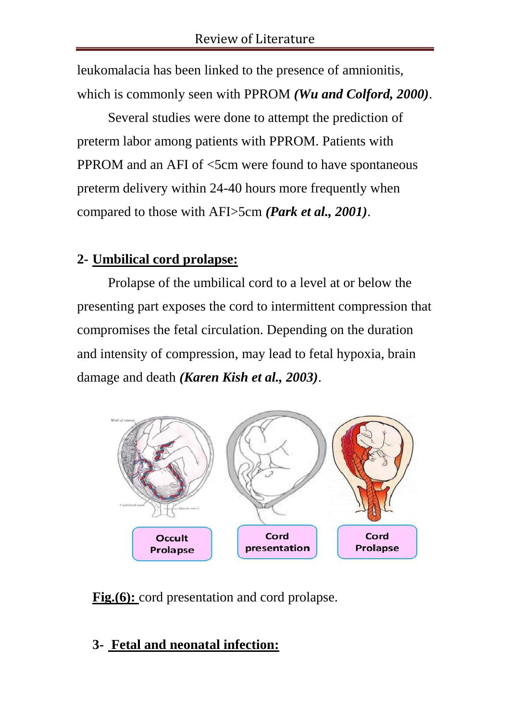leukomalacia has been linked to the presence of amnionitis, which is commonly seen with PPROM *(Wu and Colford, 2000)*.

Several studies were done to attempt the prediction of preterm labor among patients with PPROM. Patients with PPROM and an AFI of  $\leq$ 5cm were found to have spontaneous preterm delivery within 24-40 hours more frequently when compared to those with AFI>5cm *(Park et al., 2001)*.

## **2- Umbilical cord prolapse:**

Prolapse of the umbilical cord to a level at or below the presenting part exposes the cord to intermittent compression that compromises the fetal circulation. Depending on the duration and intensity of compression, may lead to fetal hypoxia, brain damage and death *(Karen Kish et al., 2003)*.



**Fig.(6):** cord presentation and cord prolapse.

## **3- Fetal and neonatal infection:**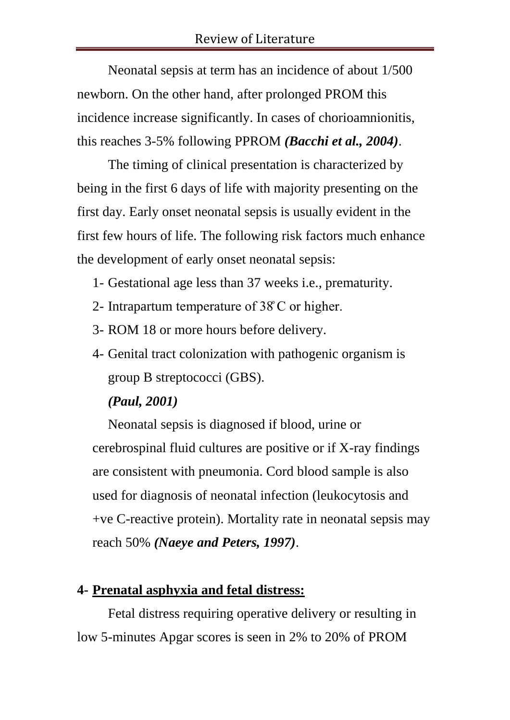Neonatal sepsis at term has an incidence of about 1/500 newborn. On the other hand, after prolonged PROM this incidence increase significantly. In cases of chorioamnionitis, this reaches 3-5% following PPROM *(Bacchi et al., 2004)*.

The timing of clinical presentation is characterized by being in the first 6 days of life with majority presenting on the first day. Early onset neonatal sepsis is usually evident in the first few hours of life. The following risk factors much enhance the development of early onset neonatal sepsis:

- 1- Gestational age less than 37 weeks i.e., prematurity.
- 2- Intrapartum temperature of 38̊ C or higher.
- 3- ROM 18 or more hours before delivery.
- 4- Genital tract colonization with pathogenic organism is group B streptococci (GBS).

### *(Paul, 2001)*

Neonatal sepsis is diagnosed if blood, urine or cerebrospinal fluid cultures are positive or if X-ray findings are consistent with pneumonia. Cord blood sample is also used for diagnosis of neonatal infection (leukocytosis and +ve C-reactive protein). Mortality rate in neonatal sepsis may reach 50% *(Naeye and Peters, 1997)*.

### **4- Prenatal asphyxia and fetal distress:**

Fetal distress requiring operative delivery or resulting in low 5-minutes Apgar scores is seen in 2% to 20% of PROM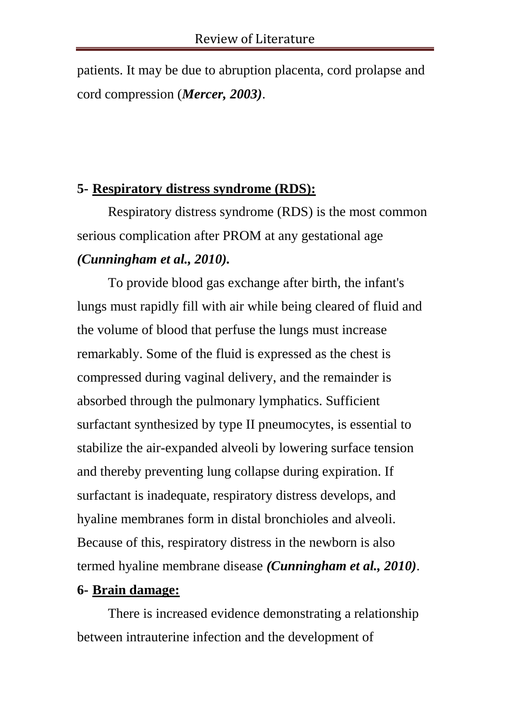patients. It may be due to abruption placenta, cord prolapse and cord compression (*Mercer, 2003)*.

## **5- Respiratory distress syndrome (RDS):**

Respiratory distress syndrome (RDS) is the most common serious complication after PROM at any gestational age *(Cunningham et al., 2010).*

To provide blood gas exchange after birth, the infant's lungs must rapidly fill with air while being cleared of fluid and the volume of blood that perfuse the lungs must increase remarkably. Some of the fluid is expressed as the chest is compressed during vaginal delivery, and the remainder is absorbed through the pulmonary lymphatics. Sufficient surfactant synthesized by type II pneumocytes, is essential to stabilize the air-expanded alveoli by lowering surface tension and thereby preventing lung collapse during expiration. If surfactant is inadequate, respiratory distress develops, and hyaline membranes form in distal bronchioles and alveoli. Because of this, respiratory distress in the newborn is also termed hyaline membrane disease *(Cunningham et al., 2010)*.

## **6- Brain damage:**

There is increased evidence demonstrating a relationship between intrauterine infection and the development of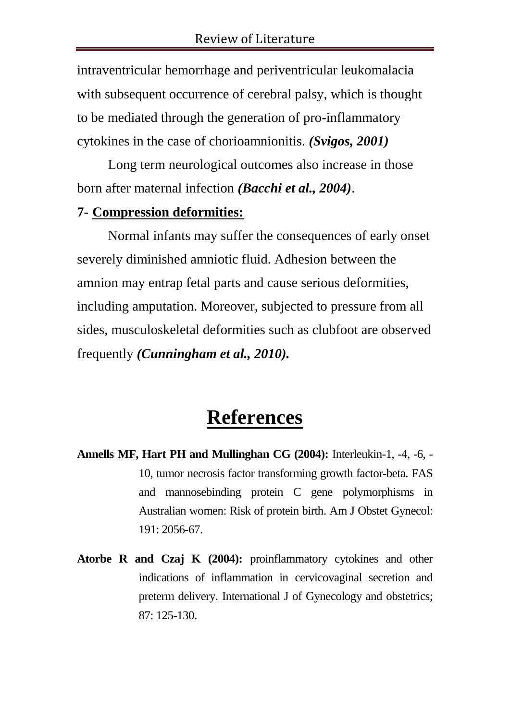intraventricular hemorrhage and periventricular leukomalacia with subsequent occurrence of cerebral palsy, which is thought to be mediated through the generation of pro-inflammatory cytokines in the case of chorioamnionitis. *(Svigos, 2001)*

Long term neurological outcomes also increase in those born after maternal infection *(Bacchi et al., 2004)*.

#### **7- Compression deformities:**

Normal infants may suffer the consequences of early onset severely diminished amniotic fluid. Adhesion between the amnion may entrap fetal parts and cause serious deformities, including amputation. Moreover, subjected to pressure from all sides, musculoskeletal deformities such as clubfoot are observed frequently *(Cunningham et al., 2010).*

# **References**

- **Annells MF, Hart PH and Mullinghan CG (2004):** Interleukin-1, -4, -6, 10, tumor necrosis factor transforming growth factor-beta. FAS and mannosebinding protein C gene polymorphisms in Australian women: Risk of protein birth. Am J Obstet Gynecol: 191: 2056-67.
- **Atorbe R and Czaj K (2004):** proinflammatory cytokines and other indications of inflammation in cervicovaginal secretion and preterm delivery. International J of Gynecology and obstetrics; 87: 125-130.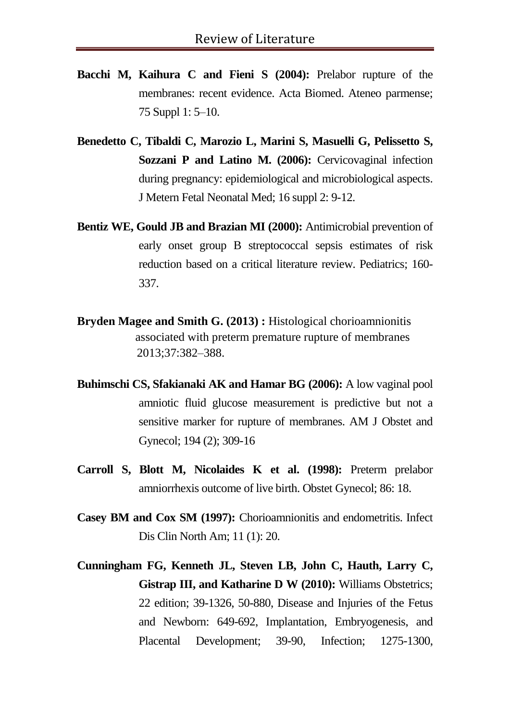- **Bacchi M, Kaihura C and Fieni S (2004):** Prelabor rupture of the membranes: recent evidence. Acta Biomed. Ateneo parmense; 75 Suppl 1: 5–10.
- **Benedetto C, Tibaldi C, Marozio L, Marini S, Masuelli G, Pelissetto S, Sozzani P and Latino M. (2006):** Cervicovaginal infection during pregnancy: epidemiological and microbiological aspects. J Metern Fetal Neonatal Med; 16 suppl 2: 9-12.
- **Bentiz WE, Gould JB and Brazian MI (2000):** Antimicrobial prevention of early onset group B streptococcal sepsis estimates of risk reduction based on a critical literature review. Pediatrics; 160- 337.
- **Bryden Magee and Smith G. (2013) :** Histological chorioamnionitis associated associated with preterm premature rupture of membranes *2013* 2013;37:382–388.
- **Buhimschi CS, Sfakianaki AK and Hamar BG (2006):** A low vaginal pool amniotic fluid glucose measurement is predictive but not a sensitive marker for rupture of membranes. AM J Obstet and Gynecol; 194 (2); 309-16
- **Carroll S, Blott M, Nicolaides K et al. (1998):** Preterm prelabor amniorrhexis outcome of live birth. Obstet Gynecol; 86: 18.
- **Casey BM and Cox SM (1997):** Chorioamnionitis and endometritis. Infect Dis Clin North Am; 11 (1): 20.
- **Cunningham FG, Kenneth JL, Steven LB, John C, Hauth, Larry C, Gistrap III, and Katharine D W (2010):** Williams Obstetrics; 22 edition; 39-1326, 50-880, Disease and Injuries of the Fetus and Newborn: 649-692, Implantation, Embryogenesis, and Placental Development; 39-90, Infection; 1275-1300,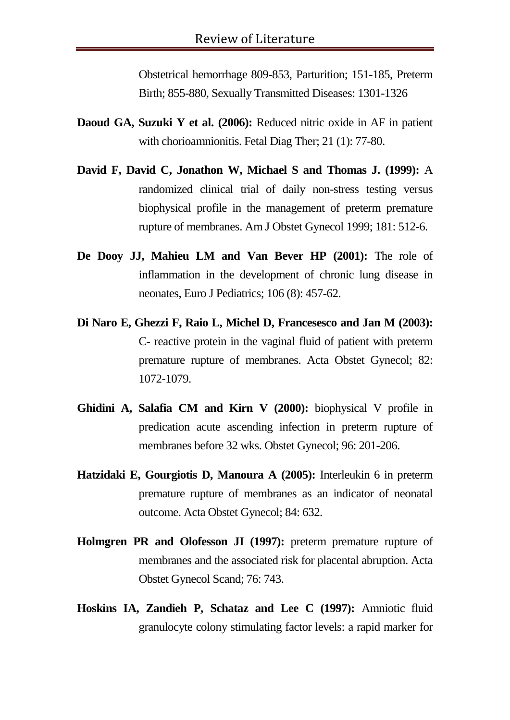Obstetrical hemorrhage 809-853, Parturition; 151-185, Preterm Birth; 855-880, Sexually Transmitted Diseases: 1301-1326

- **Daoud GA, Suzuki Y et al. (2006):** Reduced nitric oxide in AF in patient with chorioamnionitis. Fetal Diag Ther; 21 (1): 77-80.
- **David F, David C, Jonathon W, Michael S and Thomas J. (1999):** A randomized clinical trial of daily non-stress testing versus biophysical profile in the management of preterm premature rupture of membranes. Am J Obstet Gynecol 1999; 181: 512-6.
- **De Dooy JJ, Mahieu LM and Van Bever HP (2001):** The role of inflammation in the development of chronic lung disease in neonates, Euro J Pediatrics; 106 (8): 457-62.
- **Di Naro E, Ghezzi F, Raio L, Michel D, Francesesco and Jan M (2003):**  C- reactive protein in the vaginal fluid of patient with preterm premature rupture of membranes. Acta Obstet Gynecol; 82: 1072-1079.
- **Ghidini A, Salafia CM and Kirn V (2000):** biophysical V profile in predication acute ascending infection in preterm rupture of membranes before 32 wks. Obstet Gynecol; 96: 201-206.
- **Hatzidaki E, Gourgiotis D, Manoura A (2005):** Interleukin 6 in preterm premature rupture of membranes as an indicator of neonatal outcome. Acta Obstet Gynecol; 84: 632.
- **Holmgren PR and Olofesson JI (1997):** preterm premature rupture of membranes and the associated risk for placental abruption. Acta Obstet Gynecol Scand; 76: 743.
- **Hoskins IA, Zandieh P, Schataz and Lee C (1997):** Amniotic fluid granulocyte colony stimulating factor levels: a rapid marker for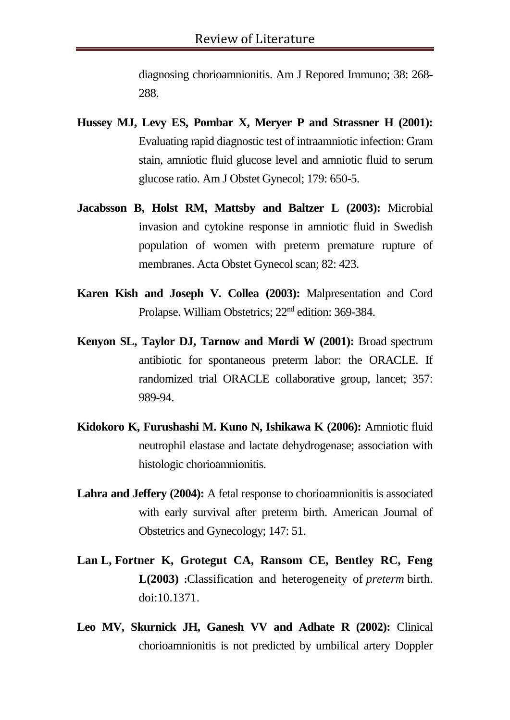diagnosing chorioamnionitis. Am J Repored Immuno; 38: 268- 288.

- **Hussey MJ, Levy ES, Pombar X, Meryer P and Strassner H (2001):**  Evaluating rapid diagnostic test of intraamniotic infection: Gram stain, amniotic fluid glucose level and amniotic fluid to serum glucose ratio. Am J Obstet Gynecol; 179: 650-5.
- **Jacabsson B, Holst RM, Mattsby and Baltzer L (2003):** Microbial invasion and cytokine response in amniotic fluid in Swedish population of women with preterm premature rupture of membranes. Acta Obstet Gynecol scan; 82: 423.
- **Karen Kish and Joseph V. Collea (2003):** Malpresentation and Cord Prolapse. William Obstetrics; 22nd edition: 369-384.
- **Kenyon SL, Taylor DJ, Tarnow and Mordi W (2001):** Broad spectrum antibiotic for spontaneous preterm labor: the ORACLE. If randomized trial ORACLE collaborative group, lancet; 357: 989-94.
- **Kidokoro K, Furushashi M. Kuno N, Ishikawa K (2006):** Amniotic fluid neutrophil elastase and lactate dehydrogenase; association with histologic chorioamnionitis.
- **Lahra and Jeffery (2004):** A fetal response to chorioamnionitis is associated with early survival after preterm birth. American Journal of Obstetrics and Gynecology; 147: 51.
- **Lan L, Fortner K, Grotegut CA, Ransom CE, Bentley RC, Feng L(2003) :**Classification and heterogeneity of *preterm* birth. doi:10.1371.
- **Leo MV, Skurnick JH, Ganesh VV and Adhate R (2002):** Clinical chorioamnionitis is not predicted by umbilical artery Doppler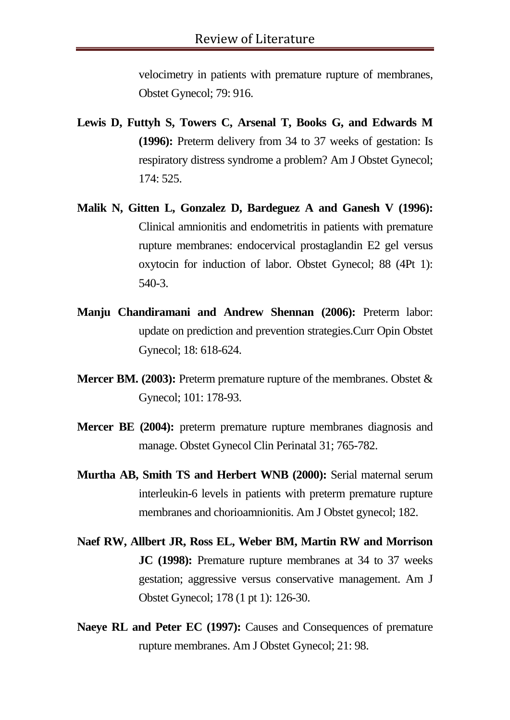velocimetry in patients with premature rupture of membranes, Obstet Gynecol; 79: 916.

- **Lewis D, Futtyh S, Towers C, Arsenal T, Books G, and Edwards M (1996):** Preterm delivery from 34 to 37 weeks of gestation: Is respiratory distress syndrome a problem? Am J Obstet Gynecol; 174: 525.
- **Malik N, Gitten L, Gonzalez D, Bardeguez A and Ganesh V (1996):**  Clinical amnionitis and endometritis in patients with premature rupture membranes: endocervical prostaglandin E2 gel versus oxytocin for induction of labor. Obstet Gynecol; 88 (4Pt 1): 540-3.
- **Manju Chandiramani and Andrew Shennan (2006):** Preterm labor: update on prediction and prevention strategies.Curr Opin Obstet Gynecol; 18: 618-624.
- **Mercer BM. (2003):** Preterm premature rupture of the membranes. Obstet & Gynecol; 101: 178-93.
- **Mercer BE (2004):** preterm premature rupture membranes diagnosis and manage. Obstet Gynecol Clin Perinatal 31; 765-782.
- **Murtha AB, Smith TS and Herbert WNB (2000):** Serial maternal serum interleukin-6 levels in patients with preterm premature rupture membranes and chorioamnionitis. Am J Obstet gynecol; 182.
- **Naef RW, Allbert JR, Ross EL, Weber BM, Martin RW and Morrison JC (1998):** Premature rupture membranes at 34 to 37 weeks gestation; aggressive versus conservative management. Am J Obstet Gynecol; 178 (1 pt 1): 126-30.
- **Naeye RL and Peter EC (1997):** Causes and Consequences of premature rupture membranes. Am J Obstet Gynecol; 21: 98.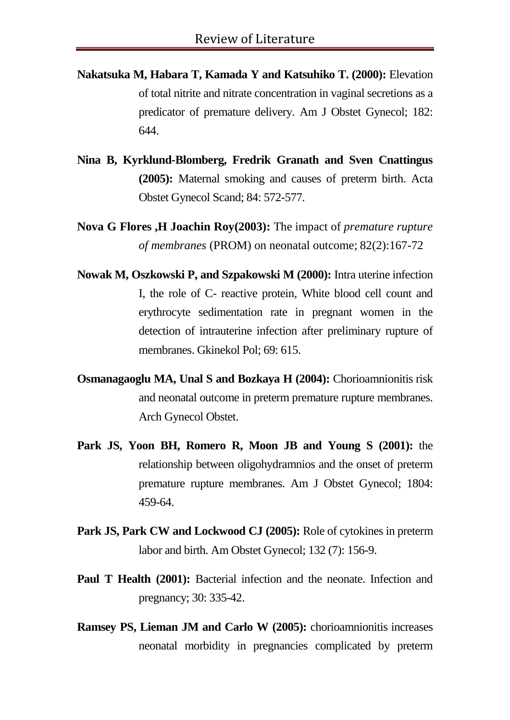- **Nakatsuka M, Habara T, Kamada Y and Katsuhiko T. (2000):** Elevation of total nitrite and nitrate concentration in vaginal secretions as a predicator of premature delivery. Am J Obstet Gynecol; 182: 644.
- **Nina B, Kyrklund-Blomberg, Fredrik Granath and Sven Cnattingus (2005):** Maternal smoking and causes of preterm birth. Acta Obstet Gynecol Scand; 84: 572-577.
- **Nova G Flores ,H Joachin Roy(2003):** The impact of *premature rupture of membranes* (PROM) on neonatal outcome; 82(2):167-72
- **Nowak M, Oszkowski P, and Szpakowski M (2000):** Intra uterine infection I, the role of C- reactive protein, White blood cell count and erythrocyte sedimentation rate in pregnant women in the detection of intrauterine infection after preliminary rupture of membranes. Gkinekol Pol; 69: 615.
- **Osmanagaoglu MA, Unal S and Bozkaya H (2004):** Chorioamnionitis risk and neonatal outcome in preterm premature rupture membranes. Arch Gynecol Obstet.
- **Park JS, Yoon BH, Romero R, Moon JB and Young S (2001):** the relationship between oligohydramnios and the onset of preterm premature rupture membranes. Am J Obstet Gynecol; 1804: 459-64.
- **Park JS, Park CW and Lockwood CJ (2005):** Role of cytokines in preterm labor and birth. Am Obstet Gynecol; 132 (7): 156-9.
- **Paul T Health (2001):** Bacterial infection and the neonate. Infection and pregnancy; 30: 335-42.
- **Ramsey PS, Lieman JM and Carlo W (2005):** chorioamnionitis increases neonatal morbidity in pregnancies complicated by preterm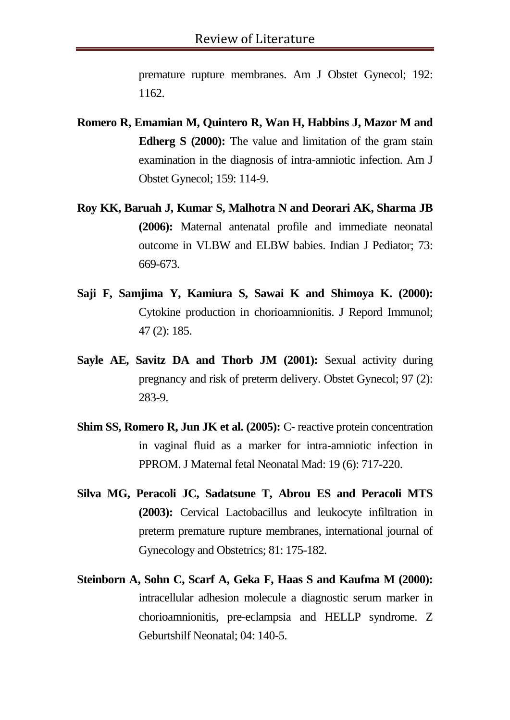premature rupture membranes. Am J Obstet Gynecol; 192: 1162.

- **Romero R, Emamian M, Quintero R, Wan H, Habbins J, Mazor M and Edherg S (2000):** The value and limitation of the gram stain examination in the diagnosis of intra-amniotic infection. Am J Obstet Gynecol; 159: 114-9.
- **Roy KK, Baruah J, Kumar S, Malhotra N and Deorari AK, Sharma JB (2006):** Maternal antenatal profile and immediate neonatal outcome in VLBW and ELBW babies. Indian J Pediator; 73: 669-673.
- **Saji F, Samjima Y, Kamiura S, Sawai K and Shimoya K. (2000):**  Cytokine production in chorioamnionitis. J Repord Immunol; 47 (2): 185.
- **Sayle AE, Savitz DA and Thorb JM (2001):** Sexual activity during pregnancy and risk of preterm delivery. Obstet Gynecol; 97 (2): 283-9.
- **Shim SS, Romero R, Jun JK et al. (2005):** C- reactive protein concentration in vaginal fluid as a marker for intra-amniotic infection in PPROM. J Maternal fetal Neonatal Mad: 19 (6): 717-220.
- **Silva MG, Peracoli JC, Sadatsune T, Abrou ES and Peracoli MTS (2003):** Cervical Lactobacillus and leukocyte infiltration in preterm premature rupture membranes, international journal of Gynecology and Obstetrics; 81: 175-182.
- **Steinborn A, Sohn C, Scarf A, Geka F, Haas S and Kaufma M (2000):**  intracellular adhesion molecule a diagnostic serum marker in chorioamnionitis, pre-eclampsia and HELLP syndrome. Z Geburtshilf Neonatal; 04: 140-5.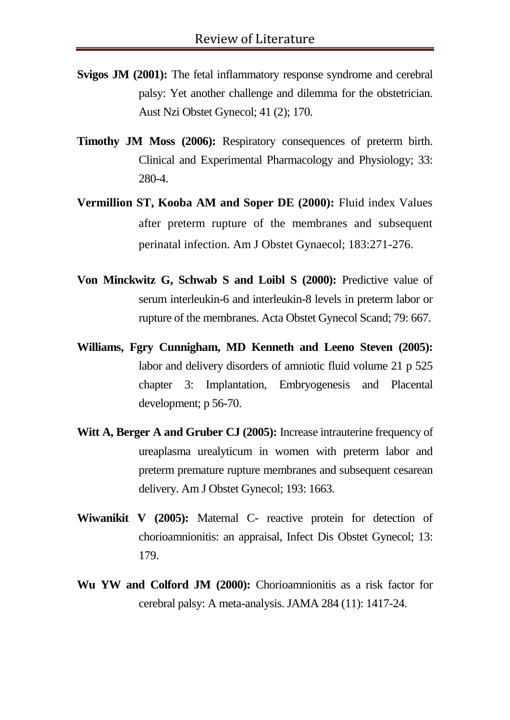- **Svigos JM (2001):** The fetal inflammatory response syndrome and cerebral palsy: Yet another challenge and dilemma for the obstetrician. Aust Nzi Obstet Gynecol; 41 (2); 170.
- **Timothy JM Moss (2006):** Respiratory consequences of preterm birth. Clinical and Experimental Pharmacology and Physiology; 33: 280-4.
- **Vermillion ST, Kooba AM and Soper DE (2000):** Fluid index Values after preterm rupture of the membranes and subsequent perinatal infection. Am J Obstet Gynaecol; 183:271-276.
- **Von Minckwitz G, Schwab S and Loibl S (2000):** Predictive value of serum interleukin-6 and interleukin-8 levels in preterm labor or rupture of the membranes. Acta Obstet Gynecol Scand; 79: 667.
- **Williams, Fgry Cunnigham, MD Kenneth and Leeno Steven (2005):**  labor and delivery disorders of amniotic fluid volume 21 p 525 chapter 3: Implantation, Embryogenesis and Placental development; p 56-70.
- **Witt A, Berger A and Gruber CJ (2005):** Increase intrauterine frequency of ureaplasma urealyticum in women with preterm labor and preterm premature rupture membranes and subsequent cesarean delivery. Am J Obstet Gynecol; 193: 1663.
- **Wiwanikit V (2005):** Maternal C- reactive protein for detection of chorioamnionitis: an appraisal, Infect Dis Obstet Gynecol; 13: 179.
- **Wu YW and Colford JM (2000):** Chorioamnionitis as a risk factor for cerebral palsy: A meta-analysis. JAMA 284 (11): 1417-24.